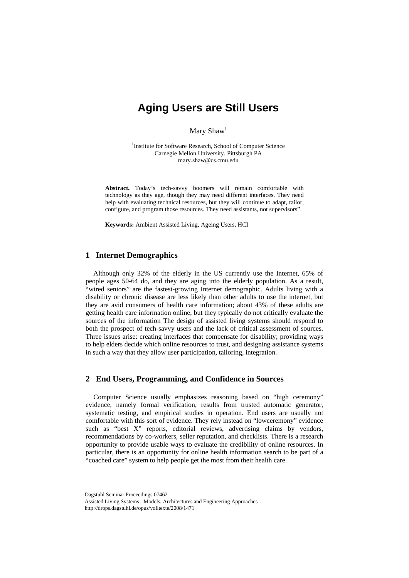## **Aging Users are Still Users**

Mary Shaw<sup>1</sup>

<sup>1</sup>Institute for Software Research, School of Computer Science Carnegie Mellon University, Pittsburgh PA mary.shaw@cs.cmu.edu

**Abstract.** Today's tech-savvy boomers will remain comfortable with technology as they age, though they may need different interfaces. They need help with evaluating technical resources, but they will continue to adapt, tailor, configure, and program those resources. They need assistants, not supervisors".

**Keywords:** Ambient Assisted Living, Ageing Users, HCI

## **1 Internet Demographics**

Although only 32% of the elderly in the US currently use the Internet, 65% of people ages 50-64 do, and they are aging into the elderly population. As a result, "wired seniors" are the fastest-growing Internet demographic. Adults living with a disability or chronic disease are less likely than other adults to use the internet, but they are avid consumers of health care information; about 43% of these adults are getting health care information online, but they typically do not critically evaluate the sources of the information The design of assisted living systems should respond to both the prospect of tech-savvy users and the lack of critical assessment of sources. Three issues arise: creating interfaces that compensate for disability; providing ways to help elders decide which online resources to trust, and designing assistance systems in such a way that they allow user participation, tailoring, integration.

## **2 End Users, Programming, and Confidence in Sources**

Computer Science usually emphasizes reasoning based on "high ceremony" evidence, namely formal verification, results from trusted automatic generator, systematic testing, and empirical studies in operation. End users are usually not comfortable with this sort of evidence. They rely instead on "lowceremony" evidence such as "best X" reports, editorial reviews, advertising claims by vendors, recommendations by co-workers, seller reputation, and checklists. There is a research opportunity to provide usable ways to evaluate the credibility of online resources. In particular, there is an opportunity for online health information search to be part of a "coached care" system to help people get the most from their health care.

Dagstuhl Seminar Proceedings 07462

Assisted Living Systems - Models, Architectures and Engineering Approaches http://drops.dagstuhl.de/opus/volltexte/2008/1471